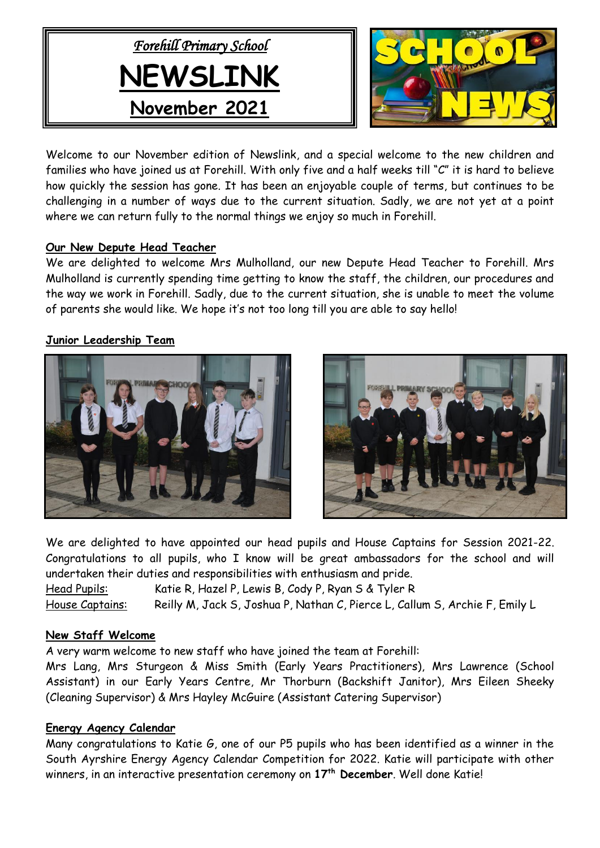



Welcome to our November edition of Newslink, and a special welcome to the new children and families who have joined us at Forehill. With only five and a half weeks till "C" it is hard to believe how quickly the session has gone. It has been an enjoyable couple of terms, but continues to be challenging in a number of ways due to the current situation. Sadly, we are not yet at a point where we can return fully to the normal things we enjoy so much in Forehill.

## **Our New Depute Head Teacher**

We are delighted to welcome Mrs Mulholland, our new Depute Head Teacher to Forehill. Mrs Mulholland is currently spending time getting to know the staff, the children, our procedures and the way we work in Forehill. Sadly, due to the current situation, she is unable to meet the volume of parents she would like. We hope it's not too long till you are able to say hello!

## **Junior Leadership Team**





We are delighted to have appointed our head pupils and House Captains for Session 2021-22. Congratulations to all pupils, who I know will be great ambassadors for the school and will undertaken their duties and responsibilities with enthusiasm and pride.

Head Pupils: Katie R, Hazel P, Lewis B, Cody P, Ryan S & Tyler R House Captains: Reilly M, Jack S, Joshua P, Nathan C, Pierce L, Callum S, Archie F, Emily L

## **New Staff Welcome**

A very warm welcome to new staff who have joined the team at Forehill:

Mrs Lang, Mrs Sturgeon & Miss Smith (Early Years Practitioners), Mrs Lawrence (School Assistant) in our Early Years Centre, Mr Thorburn (Backshift Janitor), Mrs Eileen Sheeky (Cleaning Supervisor) & Mrs Hayley McGuire (Assistant Catering Supervisor)

## **Energy Agency Calendar**

Many congratulations to Katie G, one of our P5 pupils who has been identified as a winner in the South Ayrshire Energy Agency Calendar Competition for 2022. Katie will participate with other winners, in an interactive presentation ceremony on **17th December**. Well done Katie!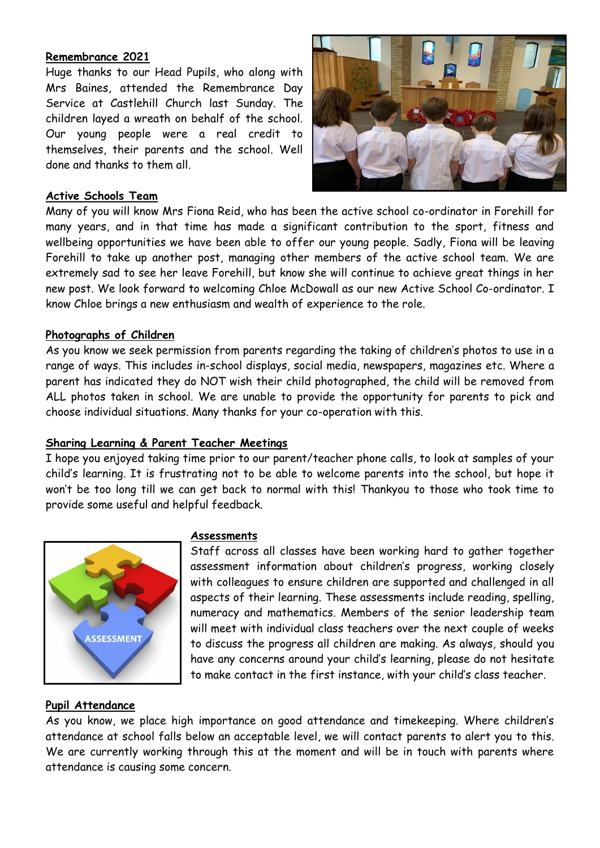#### **Remembrance 2021**

Huge thanks to our Head Pupils, who along with Mrs Baines, attended the Remembrance Day Service at Castlehill Church last Sunday. The children layed a wreath on behalf of the school. Our young people were a real credit to themselves, their parents and the school. Well done and thanks to them all.



#### **Active Schools Team**

Many of you will know Mrs Fiona Reid, who has been the active school co-ordinator in Forehill for many years, and in that time has made a significant contribution to the sport, fitness and wellbeing opportunities we have been able to offer our young people. Sadly, Fiona will be leaving Forehill to take up another post, managing other members of the active school team. We are extremely sad to see her leave Forehill, but know she will continue to achieve great things in her new post. We look forward to welcoming Chloe McDowall as our new Active School Co-ordinator. I know Chloe brings a new enthusiasm and wealth of experience to the role.

#### **Photographs of Children**

As you know we seek permission from parents regarding the taking of children's photos to use in a range of ways. This includes in-school displays, social media, newspapers, magazines etc. Where a parent has indicated they do NOT wish their child photographed, the child will be removed from ALL photos taken in school. We are unable to provide the opportunity for parents to pick and choose individual situations. Many thanks for your co-operation with this.

## **Sharing Learning & Parent Teacher Meetings**

I hope you enjoyed taking time prior to our parent/teacher phone calls, to look at samples of your child's learning. It is frustrating not to be able to welcome parents into the school, but hope it won't be too long till we can get back to normal with this! Thankyou to those who took time to provide some useful and helpful feedback.



#### **Assessments**

Staff across all classes have been working hard to gather together assessment information about children's progress, working closely with colleagues to ensure children are supported and challenged in all aspects of their learning. These assessments include reading, spelling, numeracy and mathematics. Members of the senior leadership team will meet with individual class teachers over the next couple of weeks to discuss the progress all children are making. As always, should you have any concerns around your child's learning, please do not hesitate to make contact in the first instance, with your child's class teacher.

#### **Pupil Attendance**

As you know, we place high importance on good attendance and timekeeping. Where children's attendance at school falls below an acceptable level, we will contact parents to alert you to this. We are currently working through this at the moment and will be in touch with parents where attendance is causing some concern.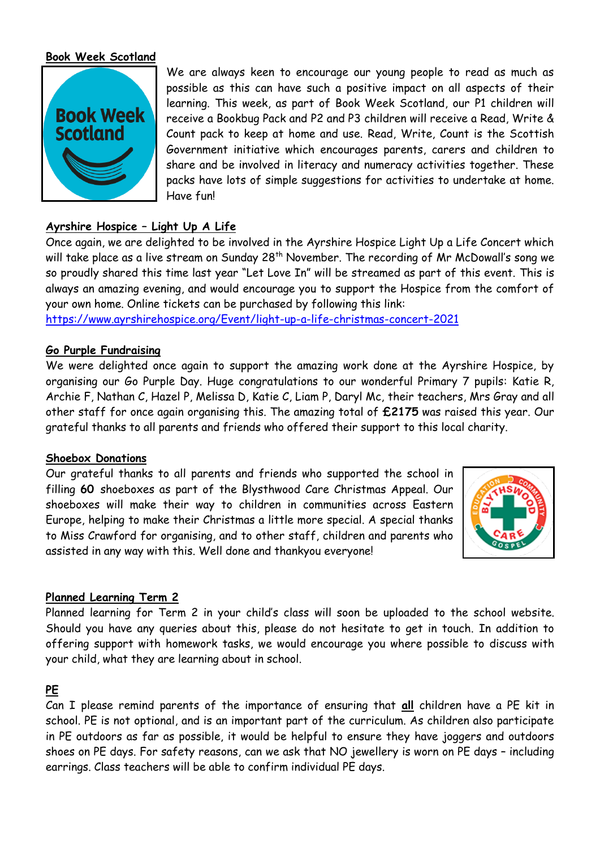## **Book Week Scotland**



We are always keen to encourage our young people to read as much as possible as this can have such a positive impact on all aspects of their learning. This week, as part of Book Week Scotland, our P1 children will receive a Bookbug Pack and P2 and P3 children will receive a Read, Write & Count pack to keep at home and use. Read, Write, Count is the Scottish Government initiative which encourages parents, carers and children to share and be involved in literacy and numeracy activities together. These packs have lots of simple suggestions for activities to undertake at home. Have fun!

## **Ayrshire Hospice – Light Up A Life**

Once again, we are delighted to be involved in the Ayrshire Hospice Light Up a Life Concert which will take place as a live stream on Sunday 28<sup>th</sup> November. The recording of Mr McDowall's song we so proudly shared this time last year "Let Love In" will be streamed as part of this event. This is always an amazing evening, and would encourage you to support the Hospice from the comfort of your own home. Online tickets can be purchased by following this link: <https://www.ayrshirehospice.org/Event/light-up-a-life-christmas-concert-2021>

#### **Go Purple Fundraising**

We were delighted once again to support the amazing work done at the Ayrshire Hospice, by organising our Go Purple Day. Huge congratulations to our wonderful Primary 7 pupils: Katie R, Archie F, Nathan C, Hazel P, Melissa D, Katie C, Liam P, Daryl Mc, their teachers, Mrs Gray and all other staff for once again organising this. The amazing total of **£2175** was raised this year. Our grateful thanks to all parents and friends who offered their support to this local charity.

#### **Shoebox Donations**

Our grateful thanks to all parents and friends who supported the school in filling **60** shoeboxes as part of the Blysthwood Care Christmas Appeal. Our shoeboxes will make their way to children in communities across Eastern Europe, helping to make their Christmas a little more special. A special thanks to Miss Crawford for organising, and to other staff, children and parents who assisted in any way with this. Well done and thankyou everyone!



## **Planned Learning Term 2**

Planned learning for Term 2 in your child's class will soon be uploaded to the school website. Should you have any queries about this, please do not hesitate to get in touch. In addition to offering support with homework tasks, we would encourage you where possible to discuss with your child, what they are learning about in school.

## **PE**

Can I please remind parents of the importance of ensuring that **all** children have a PE kit in school. PE is not optional, and is an important part of the curriculum. As children also participate in PE outdoors as far as possible, it would be helpful to ensure they have joggers and outdoors shoes on PE days. For safety reasons, can we ask that NO jewellery is worn on PE days – including earrings. Class teachers will be able to confirm individual PE days.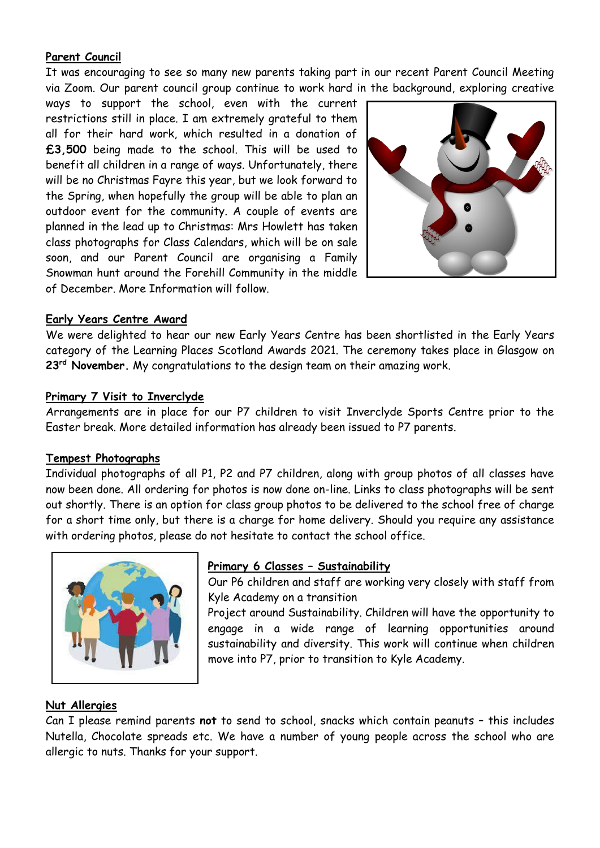## **Parent Council**

It was encouraging to see so many new parents taking part in our recent Parent Council Meeting via Zoom. Our parent council group continue to work hard in the background, exploring creative

ways to support the school, even with the current restrictions still in place. I am extremely grateful to them all for their hard work, which resulted in a donation of **£3,500** being made to the school. This will be used to benefit all children in a range of ways. Unfortunately, there will be no Christmas Fayre this year, but we look forward to the Spring, when hopefully the group will be able to plan an outdoor event for the community. A couple of events are planned in the lead up to Christmas: Mrs Howlett has taken class photographs for Class Calendars, which will be on sale soon, and our Parent Council are organising a Family Snowman hunt around the Forehill Community in the middle of December. More Information will follow.



## **Early Years Centre Award**

We were delighted to hear our new Early Years Centre has been shortlisted in the Early Years category of the Learning Places Scotland Awards 2021. The ceremony takes place in Glasgow on **23rd November.** My congratulations to the design team on their amazing work.

#### **Primary 7 Visit to Inverclyde**

Arrangements are in place for our P7 children to visit Inverclyde Sports Centre prior to the Easter break. More detailed information has already been issued to P7 parents.

#### **Tempest Photographs**

Individual photographs of all P1, P2 and P7 children, along with group photos of all classes have now been done. All ordering for photos is now done on-line. Links to class photographs will be sent out shortly. There is an option for class group photos to be delivered to the school free of charge for a short time only, but there is a charge for home delivery. Should you require any assistance with ordering photos, please do not hesitate to contact the school office.



## **Primary 6 Classes – Sustainability**

Our P6 children and staff are working very closely with staff from Kyle Academy on a transition

Project around Sustainability. Children will have the opportunity to engage in a wide range of learning opportunities around sustainability and diversity. This work will continue when children move into P7, prior to transition to Kyle Academy.

## **Nut Allergies**

Can I please remind parents **not** to send to school, snacks which contain peanuts – this includes Nutella, Chocolate spreads etc. We have a number of young people across the school who are allergic to nuts. Thanks for your support.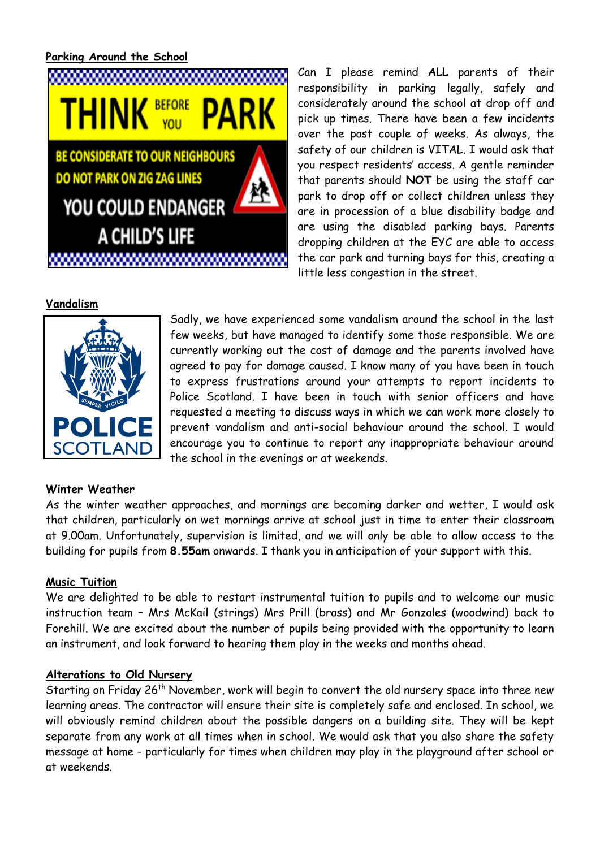## **Parking Around the School**



Can I please remind **ALL** parents of their responsibility in parking legally, safely and considerately around the school at drop off and pick up times. There have been a few incidents over the past couple of weeks. As always, the safety of our children is VITAL. I would ask that you respect residents' access. A gentle reminder that parents should **NOT** be using the staff car park to drop off or collect children unless they are in procession of a blue disability badge and are using the disabled parking bays. Parents dropping children at the EYC are able to access the car park and turning bays for this, creating a little less congestion in the street.

Sadly, we have experienced some vandalism around the school in the last few weeks, but have managed to identify some those responsible. We are currently working out the cost of damage and the parents involved have agreed to pay for damage caused. I know many of you have been in touch to express frustrations around your attempts to report incidents to Police Scotland. I have been in touch with senior officers and have requested a meeting to discuss ways in which we can work more closely to prevent vandalism and anti-social behaviour around the school. I would encourage you to continue to report any inappropriate behaviour around

#### **Vandalism**



## **Winter Weather**

As the winter weather approaches, and mornings are becoming darker and wetter, I would ask that children, particularly on wet mornings arrive at school just in time to enter their classroom at 9.00am. Unfortunately, supervision is limited, and we will only be able to allow access to the building for pupils from **8.55am** onwards. I thank you in anticipation of your support with this.

the school in the evenings or at weekends.

## **Music Tuition**

We are delighted to be able to restart instrumental tuition to pupils and to welcome our music instruction team – Mrs McKail (strings) Mrs Prill (brass) and Mr Gonzales (woodwind) back to Forehill. We are excited about the number of pupils being provided with the opportunity to learn an instrument, and look forward to hearing them play in the weeks and months ahead.

## **Alterations to Old Nursery**

Starting on Friday 26<sup>th</sup> November, work will begin to convert the old nursery space into three new learning areas. The contractor will ensure their site is completely safe and enclosed. In school, we will obviously remind children about the possible dangers on a building site. They will be kept separate from any work at all times when in school. We would ask that you also share the safety message at home - particularly for times when children may play in the playground after school or at weekends.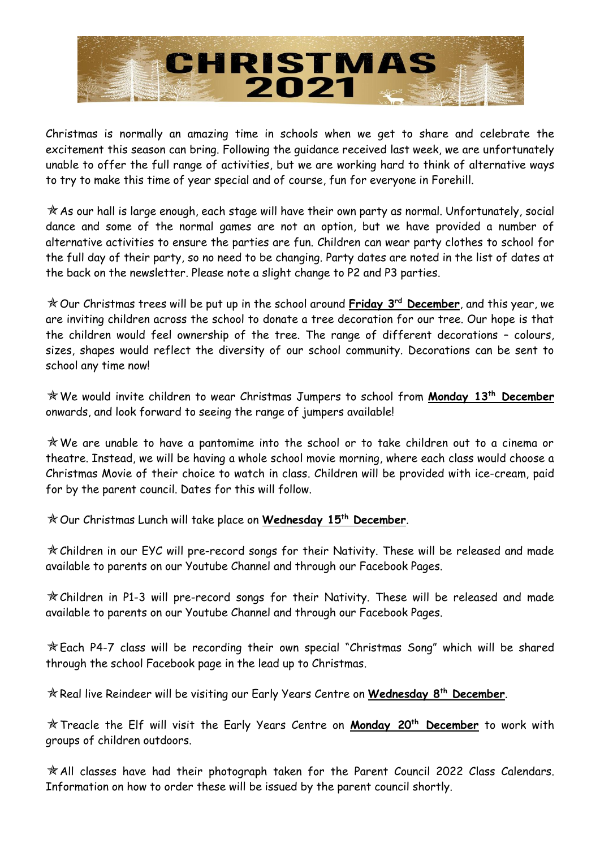

Christmas is normally an amazing time in schools when we get to share and celebrate the excitement this season can bring. Following the guidance received last week, we are unfortunately unable to offer the full range of activities, but we are working hard to think of alternative ways to try to make this time of year special and of course, fun for everyone in Forehill.

 $*$  As our hall is large enough, each stage will have their own party as normal. Unfortunately, social dance and some of the normal games are not an option, but we have provided a number of alternative activities to ensure the parties are fun. Children can wear party clothes to school for the full day of their party, so no need to be changing. Party dates are noted in the list of dates at the back on the newsletter. Please note a slight change to P2 and P3 parties.

Our Christmas trees will be put up in the school around **Friday 3 rd December**, and this year, we are inviting children across the school to donate a tree decoration for our tree. Our hope is that the children would feel ownership of the tree. The range of different decorations – colours, sizes, shapes would reflect the diversity of our school community. Decorations can be sent to school any time now!

We would invite children to wear Christmas Jumpers to school from **Monday 13th December** onwards, and look forward to seeing the range of jumpers available!

We are unable to have a pantomime into the school or to take children out to a cinema or theatre. Instead, we will be having a whole school movie morning, where each class would choose a Christmas Movie of their choice to watch in class. Children will be provided with ice-cream, paid for by the parent council. Dates for this will follow.

Our Christmas Lunch will take place on **Wednesday 15 th December**.

Children in our EYC will pre-record songs for their Nativity. These will be released and made available to parents on our Youtube Channel and through our Facebook Pages.

Children in P1-3 will pre-record songs for their Nativity. These will be released and made available to parents on our Youtube Channel and through our Facebook Pages.

Each P4-7 class will be recording their own special "Christmas Song" which will be shared through the school Facebook page in the lead up to Christmas.

Real live Reindeer will be visiting our Early Years Centre on **Wednesday 8 th December**.

Treacle the Elf will visit the Early Years Centre on **Monday 20th December** to work with groups of children outdoors.

 $*$  All classes have had their photograph taken for the Parent Council 2022 Class Calendars. Information on how to order these will be issued by the parent council shortly.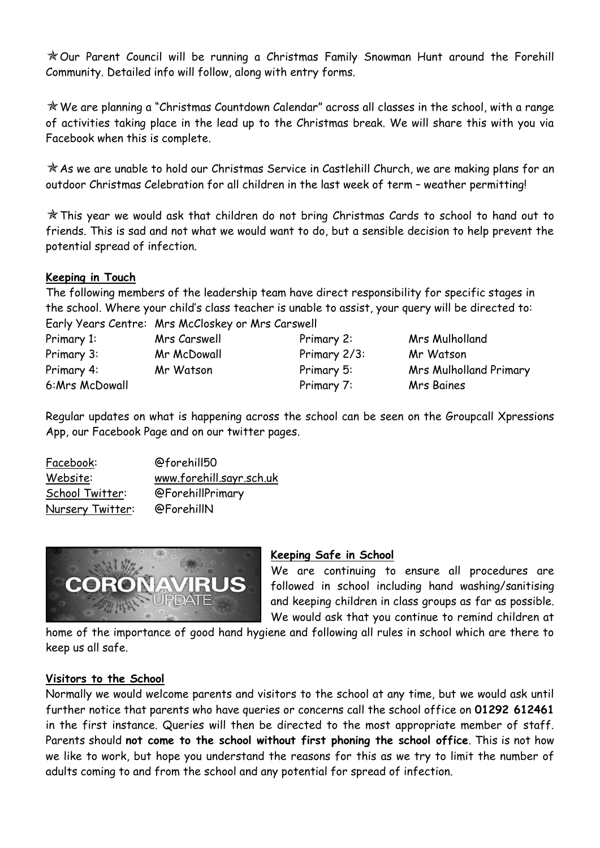Our Parent Council will be running a Christmas Family Snowman Hunt around the Forehill Community. Detailed info will follow, along with entry forms.

We are planning a "Christmas Countdown Calendar" across all classes in the school, with a range of activities taking place in the lead up to the Christmas break. We will share this with you via Facebook when this is complete.

 $\mathcal A$  As we are unable to hold our Christmas Service in Castlehill Church, we are making plans for an outdoor Christmas Celebration for all children in the last week of term – weather permitting!

This year we would ask that children do not bring Christmas Cards to school to hand out to friends. This is sad and not what we would want to do, but a sensible decision to help prevent the potential spread of infection.

## **Keeping in Touch**

The following members of the leadership team have direct responsibility for specific stages in the school. Where your child's class teacher is unable to assist, your query will be directed to: Early Years Centre: Mrs McCloskey or Mrs Carswell

| $C$ uriy veuro cenner |
|-----------------------|
| Primary 1:            |
| Primary 3:            |
| Primary 4:            |
| 6:Mrs McDowall        |

Primary 3: Mr McDowall Primary 2/3: Mr Watson Primary 7: Mrs Baines

Mrs Carswell **Primary 2:** Mrs Mulholland Primary 4: Mr Watson Primary 5: Mrs Mulholland Primary

Regular updates on what is happening across the school can be seen on the Groupcall Xpressions App, our Facebook Page and on our twitter pages.

| Facebook:        | @forehill50              |
|------------------|--------------------------|
| Website:         | www.forehill.sayr.sch.uk |
| School Twitter:  | @ForehillPrimary         |
| Nursery Twitter: | @ForehillN               |



## **Keeping Safe in School**

We are continuing to ensure all procedures are followed in school including hand washing/sanitising and keeping children in class groups as far as possible. We would ask that you continue to remind children at

home of the importance of good hand hygiene and following all rules in school which are there to keep us all safe.

## **Visitors to the School**

Normally we would welcome parents and visitors to the school at any time, but we would ask until further notice that parents who have queries or concerns call the school office on **01292 612461** in the first instance. Queries will then be directed to the most appropriate member of staff. Parents should **not come to the school without first phoning the school office**. This is not how we like to work, but hope you understand the reasons for this as we try to limit the number of adults coming to and from the school and any potential for spread of infection.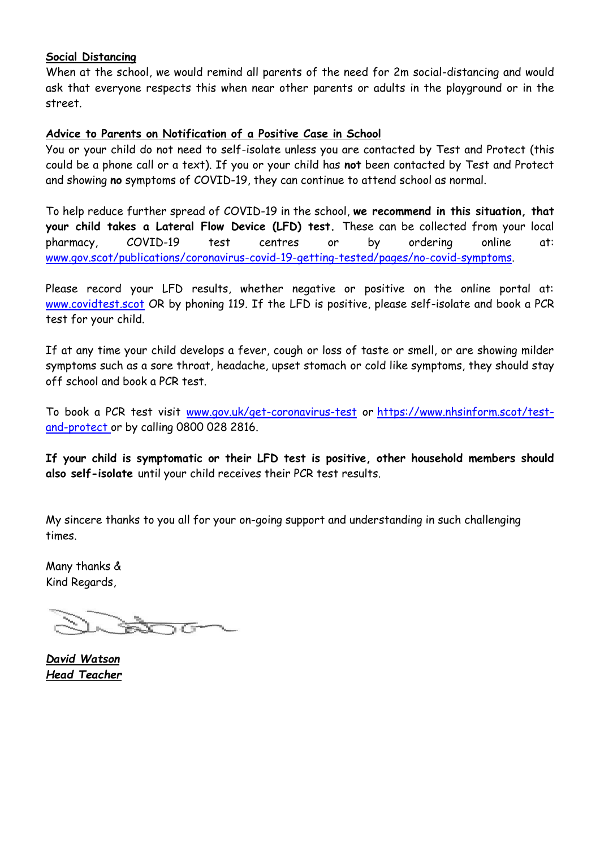#### **Social Distancing**

When at the school, we would remind all parents of the need for 2m social-distancing and would ask that everyone respects this when near other parents or adults in the playground or in the street.

### **Advice to Parents on Notification of a Positive Case in School**

You or your child do not need to self-isolate unless you are contacted by Test and Protect (this could be a phone call or a text). If you or your child has **not** been contacted by Test and Protect and showing **no** symptoms of COVID-19, they can continue to attend school as normal.

To help reduce further spread of COVID-19 in the school, **we recommend in this situation, that your child takes a Lateral Flow Device (LFD) test.** These can be collected from your local pharmacy, COVID-19 test centres or by ordering online at: [www.gov.scot/publications/coronavirus-covid-19-getting-tested/pages/no-covid-symptoms.](http://www.gov.scot/publications/coronavirus-covid-19-getting-tested/pages/no-covid-symptoms)

Please record your LFD results, whether negative or positive on the online portal at: [www.covidtest.scot](http://www.covidtest.scot/) OR by phoning 119. If the LFD is positive, please self-isolate and book a PCR test for your child.

If at any time your child develops a fever, cough or loss of taste or smell, or are showing milder symptoms such as a sore throat, headache, upset stomach or cold like symptoms, they should stay off school and book a PCR test.

To book a PCR test visit [www.gov.uk/get-coronavirus-test](http://www.gov.uk/get-coronavirus-test) or [https://www.nhsinform.scot/test](https://www.nhsinform.scot/test-and-protect)[and-protect](https://www.nhsinform.scot/test-and-protect) or by calling 0800 028 2816.

**If your child is symptomatic or their LFD test is positive, other household members should also self-isolate** until your child receives their PCR test results.

My sincere thanks to you all for your on-going support and understanding in such challenging times.

Many thanks & Kind Regards,

*David Watson Head Teacher*